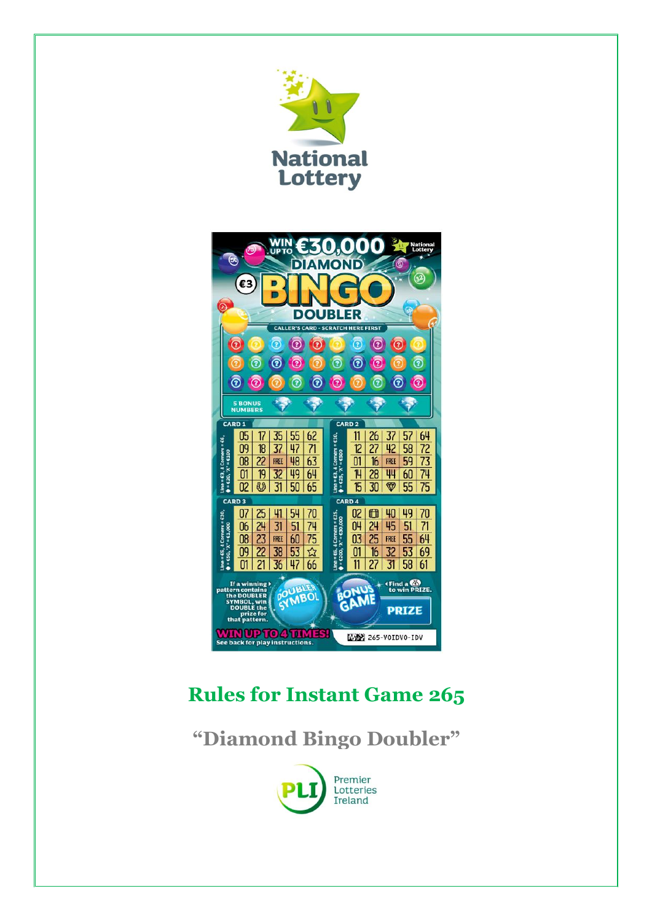



# **Rules for Instant Game 265**

**"Diamond Bingo Doubler"**

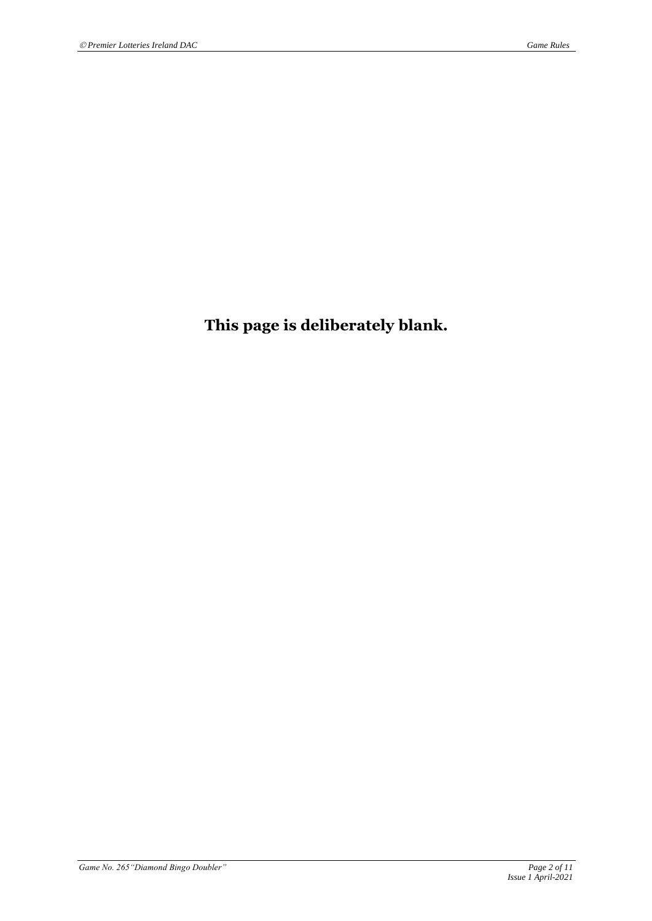**This page is deliberately blank.**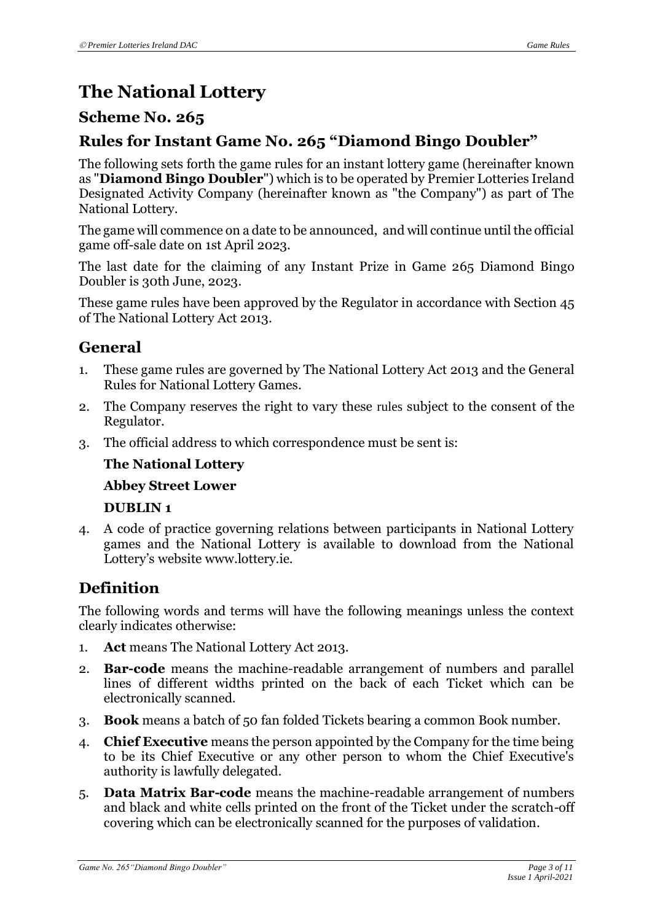# **The National Lottery**

# **Scheme No. 265**

# **Rules for Instant Game No. 265 "Diamond Bingo Doubler"**

The following sets forth the game rules for an instant lottery game (hereinafter known as "**Diamond Bingo Doubler**") which is to be operated by Premier Lotteries Ireland Designated Activity Company (hereinafter known as "the Company") as part of The National Lottery.

The game will commence on a date to be announced, and will continue until the official game off-sale date on 1st April 2023.

The last date for the claiming of any Instant Prize in Game 265 Diamond Bingo Doubler is 30th June, 2023.

These game rules have been approved by the Regulator in accordance with Section 45 of The National Lottery Act 2013.

# **General**

- 1. These game rules are governed by The National Lottery Act 2013 and the General Rules for National Lottery Games.
- 2. The Company reserves the right to vary these rules subject to the consent of the Regulator.
- 3. The official address to which correspondence must be sent is:

#### **The National Lottery**

#### **Abbey Street Lower**

#### **DUBLIN 1**

4. A code of practice governing relations between participants in National Lottery games and the National Lottery is available to download from the National Lottery's website [www.lottery.ie.](http://www.lottery.ie/)

# **Definition**

The following words and terms will have the following meanings unless the context clearly indicates otherwise:

- 1. **Act** means The National Lottery Act 2013.
- 2. **Bar-code** means the machine-readable arrangement of numbers and parallel lines of different widths printed on the back of each Ticket which can be electronically scanned.
- 3. **Book** means a batch of 50 fan folded Tickets bearing a common Book number.
- 4. **Chief Executive** means the person appointed by the Company for the time being to be its Chief Executive or any other person to whom the Chief Executive's authority is lawfully delegated.
- 5. **Data Matrix Bar-code** means the machine-readable arrangement of numbers and black and white cells printed on the front of the Ticket under the scratch-off covering which can be electronically scanned for the purposes of validation.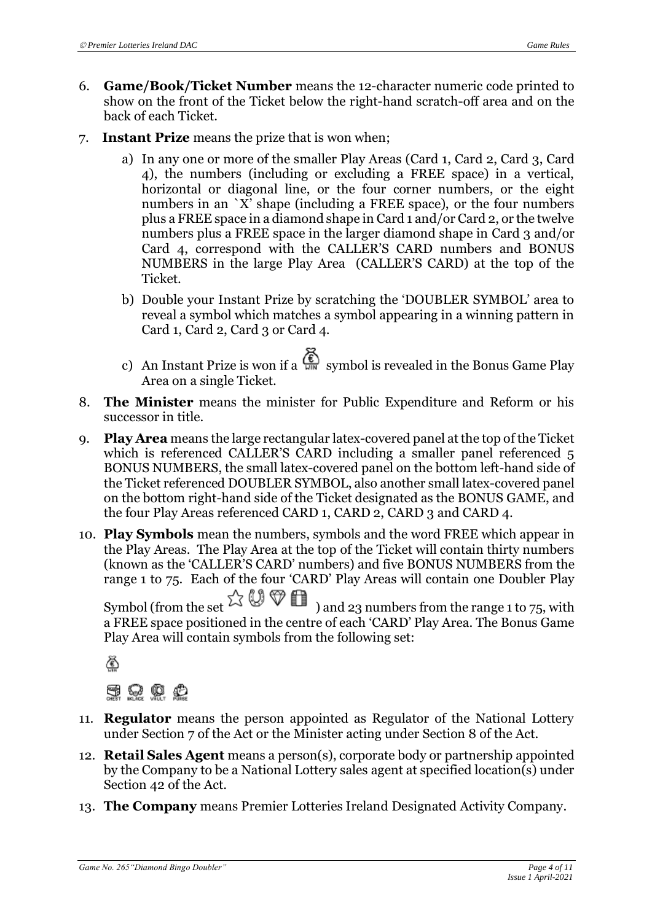- 6. **Game/Book/Ticket Number** means the 12-character numeric code printed to show on the front of the Ticket below the right-hand scratch-off area and on the back of each Ticket.
- 7. **Instant Prize** means the prize that is won when;
	- a) In any one or more of the smaller Play Areas (Card 1, Card 2, Card 3, Card 4), the numbers (including or excluding a FREE space) in a vertical, horizontal or diagonal line, or the four corner numbers, or the eight numbers in an `X' shape (including a FREE space), or the four numbers plus a FREE space in a diamond shape in Card 1 and/or Card 2, or the twelve numbers plus a FREE space in the larger diamond shape in Card 3 and/or Card 4, correspond with the CALLER'S CARD numbers and BONUS NUMBERS in the large Play Area (CALLER'S CARD) at the top of the Ticket.
	- b) Double your Instant Prize by scratching the 'DOUBLER SYMBOL' area to reveal a symbol which matches a symbol appearing in a winning pattern in Card 1, Card 2, Card 3 or Card 4.
	- c) An Instant Prize is won if a  $\bigoplus_{m=1}^{\infty}$  symbol is revealed in the Bonus Game Play Area on a single Ticket.
- 8. **The Minister** means the minister for Public Expenditure and Reform or his successor in title.
- 9. **Play Area** means the large rectangular latex-covered panel at the top of the Ticket which is referenced CALLER'S CARD including a smaller panel referenced 5 BONUS NUMBERS, the small latex-covered panel on the bottom left-hand side of the Ticket referenced DOUBLER SYMBOL, also another small latex-covered panel on the bottom right-hand side of the Ticket designated as the BONUS GAME, and the four Play Areas referenced CARD 1, CARD 2, CARD 3 and CARD 4.
- 10. **Play Symbols** mean the numbers, symbols and the word FREE which appear in the Play Areas. The Play Area at the top of the Ticket will contain thirty numbers (known as the 'CALLER'S CARD' numbers) and five BONUS NUMBERS from the range 1 to 75. Each of the four 'CARD' Play Areas will contain one Doubler Play<br>Symbol (from the set  $\stackrel{\frown}{\sim} \bigotimes \stackrel{\frown}{\bullet} \bigotimes$ ) and 23 numbers from the range 1 to 75 with ) and 23 numbers from the range 1 to 75, with a FREE space positioned in the centre of each 'CARD' Play Area. The Bonus Game

Play Area will contain symbols from the following set:

♨

9000

- 11. **Regulator** means the person appointed as Regulator of the National Lottery under Section 7 of the Act or the Minister acting under Section 8 of the Act.
- 12. **Retail Sales Agent** means a person(s), corporate body or partnership appointed by the Company to be a National Lottery sales agent at specified location(s) under Section 42 of the Act.
- 13. **The Company** means Premier Lotteries Ireland Designated Activity Company.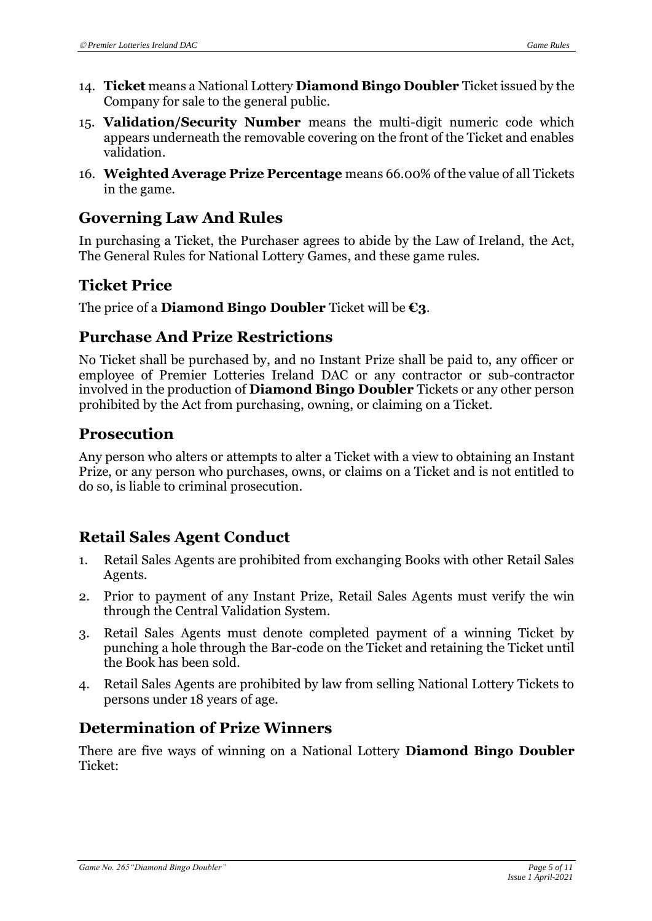- 14. **Ticket** means a National Lottery **Diamond Bingo Doubler** Ticket issued by the Company for sale to the general public.
- 15. **Validation/Security Number** means the multi-digit numeric code which appears underneath the removable covering on the front of the Ticket and enables validation.
- 16. **Weighted Average Prize Percentage** means 66.00% of the value of all Tickets in the game.

# **Governing Law And Rules**

In purchasing a Ticket, the Purchaser agrees to abide by the Law of Ireland, the Act, The General Rules for National Lottery Games, and these game rules.

# **Ticket Price**

The price of a **Diamond Bingo Doubler** Ticket will be **€3**.

# **Purchase And Prize Restrictions**

No Ticket shall be purchased by, and no Instant Prize shall be paid to, any officer or employee of Premier Lotteries Ireland DAC or any contractor or sub-contractor involved in the production of **Diamond Bingo Doubler** Tickets or any other person prohibited by the Act from purchasing, owning, or claiming on a Ticket.

# **Prosecution**

Any person who alters or attempts to alter a Ticket with a view to obtaining an Instant Prize, or any person who purchases, owns, or claims on a Ticket and is not entitled to do so, is liable to criminal prosecution.

# **Retail Sales Agent Conduct**

- 1. Retail Sales Agents are prohibited from exchanging Books with other Retail Sales Agents.
- 2. Prior to payment of any Instant Prize, Retail Sales Agents must verify the win through the Central Validation System.
- 3. Retail Sales Agents must denote completed payment of a winning Ticket by punching a hole through the Bar-code on the Ticket and retaining the Ticket until the Book has been sold.
- 4. Retail Sales Agents are prohibited by law from selling National Lottery Tickets to persons under 18 years of age.

# **Determination of Prize Winners**

There are five ways of winning on a National Lottery **Diamond Bingo Doubler** Ticket: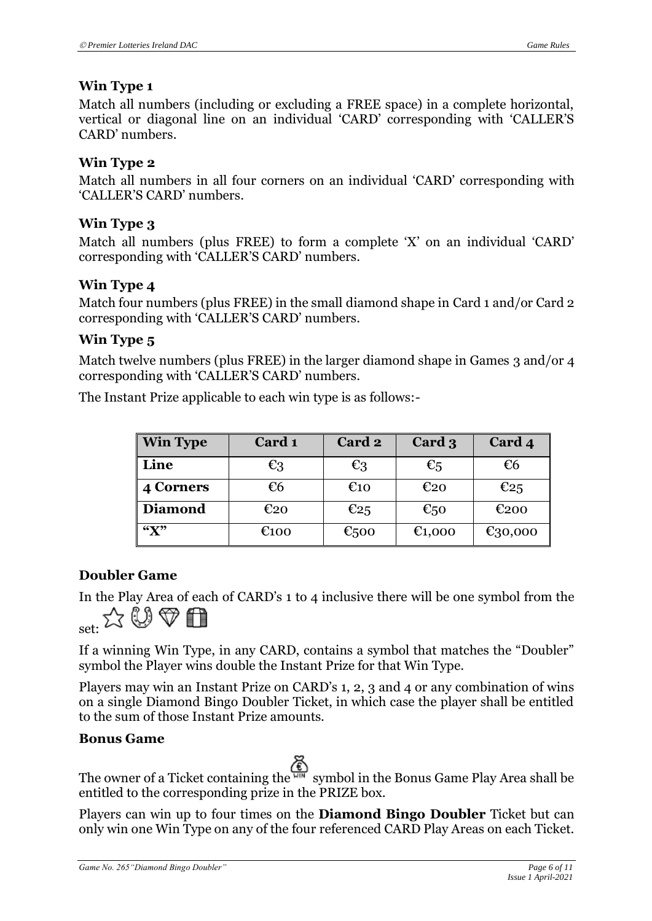#### **Win Type 1**

Match all numbers (including or excluding a FREE space) in a complete horizontal, vertical or diagonal line on an individual 'CARD' corresponding with 'CALLER'S CARD' numbers.

#### **Win Type 2**

Match all numbers in all four corners on an individual 'CARD' corresponding with 'CALLER'S CARD' numbers.

#### **Win Type 3**

Match all numbers (plus FREE) to form a complete 'X' on an individual 'CARD' corresponding with 'CALLER'S CARD' numbers.

#### **Win Type 4**

Match four numbers (plus FREE) in the small diamond shape in Card 1 and/or Card 2 corresponding with 'CALLER'S CARD' numbers.

#### **Win Type 5**

Match twelve numbers (plus FREE) in the larger diamond shape in Games 3 and/or 4 corresponding with 'CALLER'S CARD' numbers.

The Instant Prize applicable to each win type is as follows:-

| <b>Win Type</b>            | Card 1         | Card 2                    | Card 3             | Card <sub>4</sub> |
|----------------------------|----------------|---------------------------|--------------------|-------------------|
| Line                       | €3             | €3                        | €5                 | €6                |
| <b>4 Corners</b>           | €6             | $\epsilon_{10}$           | $E_{20}$           | E25               |
| <b>Diamond</b>             | $E_{20}$       | E25                       | $E_{50}$           | E200              |
| $\mathfrak{C}(\mathbf{X})$ | $\epsilon$ 100 | $\epsilon$ <sub>500</sub> | $\epsilon_{1,000}$ | €30,000           |

#### **Doubler Game**

In the Play Area of each of CARD's 1 to 4 inclusive there will be one symbol from the  $_{\rm set}$ .  $\overleftrightarrow{\sim}$ 

If a winning Win Type, in any CARD, contains a symbol that matches the "Doubler" symbol the Player wins double the Instant Prize for that Win Type.

Players may win an Instant Prize on CARD's 1, 2, 3 and 4 or any combination of wins on a single Diamond Bingo Doubler Ticket, in which case the player shall be entitled to the sum of those Instant Prize amounts.

#### **Bonus Game**

The owner of a Ticket containing the  $\frac{1}{N}$  symbol in the Bonus Game Play Area shall be entitled to the corresponding prize in the PRIZE box.

Players can win up to four times on the **Diamond Bingo Doubler** Ticket but can only win one Win Type on any of the four referenced CARD Play Areas on each Ticket.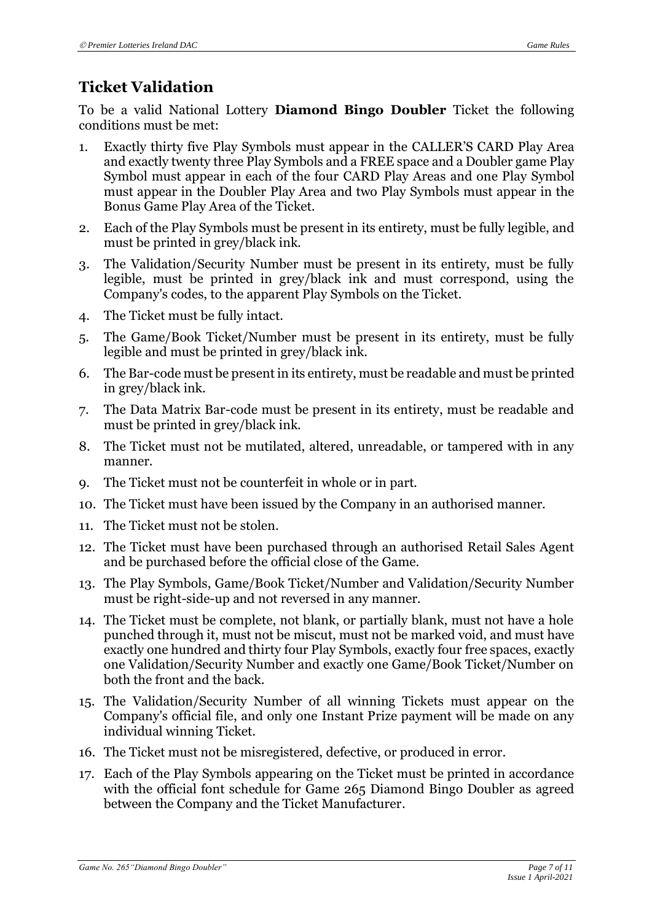# **Ticket Validation**

To be a valid National Lottery **Diamond Bingo Doubler** Ticket the following conditions must be met:

- 1. Exactly thirty five Play Symbols must appear in the CALLER'S CARD Play Area and exactly twenty three Play Symbols and a FREE space and a Doubler game Play Symbol must appear in each of the four CARD Play Areas and one Play Symbol must appear in the Doubler Play Area and two Play Symbols must appear in the Bonus Game Play Area of the Ticket.
- 2. Each of the Play Symbols must be present in its entirety, must be fully legible, and must be printed in grey/black ink.
- 3. The Validation/Security Number must be present in its entirety, must be fully legible, must be printed in grey/black ink and must correspond, using the Company's codes, to the apparent Play Symbols on the Ticket.
- 4. The Ticket must be fully intact.
- 5. The Game/Book Ticket/Number must be present in its entirety, must be fully legible and must be printed in grey/black ink.
- 6. The Bar-code must be present in its entirety, must be readable and must be printed in grey/black ink.
- 7. The Data Matrix Bar-code must be present in its entirety, must be readable and must be printed in grey/black ink.
- 8. The Ticket must not be mutilated, altered, unreadable, or tampered with in any manner.
- 9. The Ticket must not be counterfeit in whole or in part.
- 10. The Ticket must have been issued by the Company in an authorised manner.
- 11. The Ticket must not be stolen.
- 12. The Ticket must have been purchased through an authorised Retail Sales Agent and be purchased before the official close of the Game.
- 13. The Play Symbols, Game/Book Ticket/Number and Validation/Security Number must be right-side-up and not reversed in any manner.
- 14. The Ticket must be complete, not blank, or partially blank, must not have a hole punched through it, must not be miscut, must not be marked void, and must have exactly one hundred and thirty four Play Symbols, exactly four free spaces, exactly one Validation/Security Number and exactly one Game/Book Ticket/Number on both the front and the back.
- 15. The Validation/Security Number of all winning Tickets must appear on the Company's official file, and only one Instant Prize payment will be made on any individual winning Ticket.
- 16. The Ticket must not be misregistered, defective, or produced in error.
- 17. Each of the Play Symbols appearing on the Ticket must be printed in accordance with the official font schedule for Game 265 Diamond Bingo Doubler as agreed between the Company and the Ticket Manufacturer.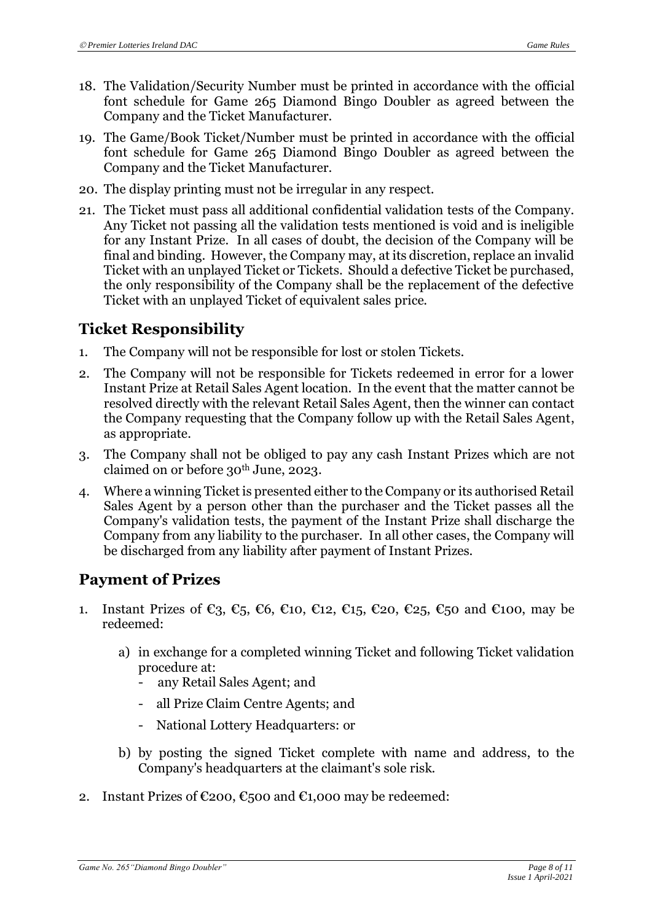- 18. The Validation/Security Number must be printed in accordance with the official font schedule for Game 265 Diamond Bingo Doubler as agreed between the Company and the Ticket Manufacturer.
- 19. The Game/Book Ticket/Number must be printed in accordance with the official font schedule for Game 265 Diamond Bingo Doubler as agreed between the Company and the Ticket Manufacturer.
- 20. The display printing must not be irregular in any respect.
- 21. The Ticket must pass all additional confidential validation tests of the Company. Any Ticket not passing all the validation tests mentioned is void and is ineligible for any Instant Prize. In all cases of doubt, the decision of the Company will be final and binding. However, the Company may, at its discretion, replace an invalid Ticket with an unplayed Ticket or Tickets. Should a defective Ticket be purchased, the only responsibility of the Company shall be the replacement of the defective Ticket with an unplayed Ticket of equivalent sales price.

# **Ticket Responsibility**

- 1. The Company will not be responsible for lost or stolen Tickets.
- 2. The Company will not be responsible for Tickets redeemed in error for a lower Instant Prize at Retail Sales Agent location. In the event that the matter cannot be resolved directly with the relevant Retail Sales Agent, then the winner can contact the Company requesting that the Company follow up with the Retail Sales Agent, as appropriate.
- 3. The Company shall not be obliged to pay any cash Instant Prizes which are not claimed on or before 30<sup>th</sup> June, 2023.
- 4. Where a winning Ticket is presented either to the Company or its authorised Retail Sales Agent by a person other than the purchaser and the Ticket passes all the Company's validation tests, the payment of the Instant Prize shall discharge the Company from any liability to the purchaser. In all other cases, the Company will be discharged from any liability after payment of Instant Prizes.

# **Payment of Prizes**

- 1. Instant Prizes of  $\mathfrak{C}_3$ ,  $\mathfrak{C}_5$ ,  $\mathfrak{C}_6$ ,  $\mathfrak{C}_{10}$ ,  $\mathfrak{C}_{12}$ ,  $\mathfrak{C}_{15}$ ,  $\mathfrak{C}_{20}$ ,  $\mathfrak{C}_{25}$ ,  $\mathfrak{C}_{50}$  and  $\mathfrak{C}_{100}$ , may be redeemed:
	- a) in exchange for a completed winning Ticket and following Ticket validation procedure at:
		- any Retail Sales Agent; and
		- all Prize Claim Centre Agents; and
		- National Lottery Headquarters: or
	- b) by posting the signed Ticket complete with name and address, to the Company's headquarters at the claimant's sole risk.
- 2. Instant Prizes of  $\epsilon$ 200,  $\epsilon$ 500 and  $\epsilon$ 1.000 may be redeemed: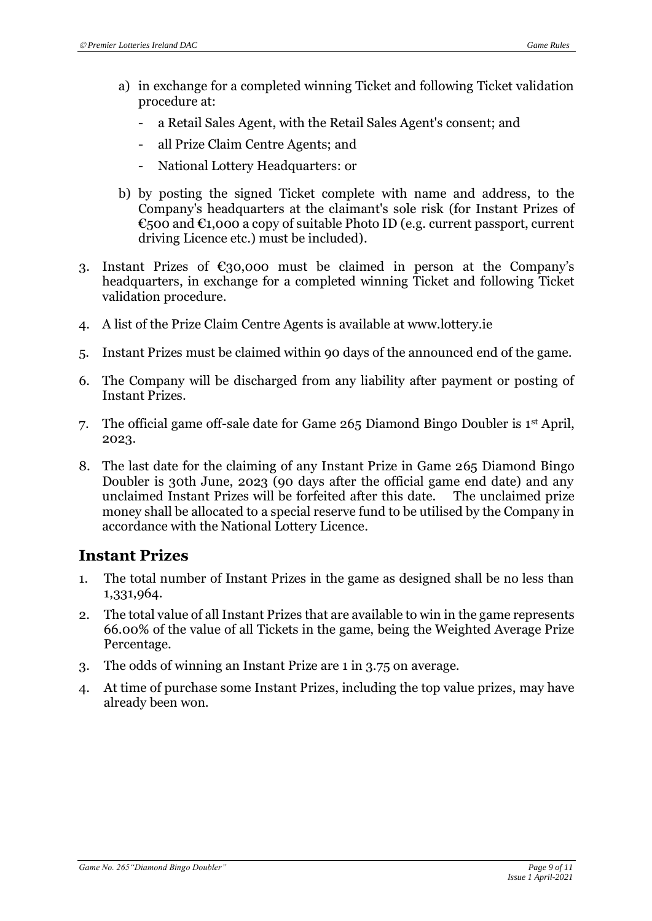- a) in exchange for a completed winning Ticket and following Ticket validation procedure at:
	- a Retail Sales Agent, with the Retail Sales Agent's consent; and
	- all Prize Claim Centre Agents; and
	- National Lottery Headquarters: or
- b) by posting the signed Ticket complete with name and address, to the Company's headquarters at the claimant's sole risk (for Instant Prizes of €500 and €1,000 a copy of suitable Photo ID (e.g. current passport, current driving Licence etc.) must be included).
- 3. Instant Prizes of  $\epsilon$ 30,000 must be claimed in person at the Company's headquarters, in exchange for a completed winning Ticket and following Ticket validation procedure.
- 4. A list of the Prize Claim Centre Agents is available at www.lottery.ie
- 5. Instant Prizes must be claimed within 90 days of the announced end of the game.
- 6. The Company will be discharged from any liability after payment or posting of Instant Prizes.
- 7. The official game off-sale date for Game 265 Diamond Bingo Doubler is 1st April, 2023.
- 8. The last date for the claiming of any Instant Prize in Game 265 Diamond Bingo Doubler is 30th June, 2023 (90 days after the official game end date) and any unclaimed Instant Prizes will be forfeited after this date. The unclaimed prize money shall be allocated to a special reserve fund to be utilised by the Company in accordance with the National Lottery Licence.

### **Instant Prizes**

- 1. The total number of Instant Prizes in the game as designed shall be no less than 1,331,964.
- 2. The total value of all Instant Prizes that are available to win in the game represents 66.00% of the value of all Tickets in the game, being the Weighted Average Prize Percentage.
- 3. The odds of winning an Instant Prize are 1 in 3.75 on average.
- 4. At time of purchase some Instant Prizes, including the top value prizes, may have already been won.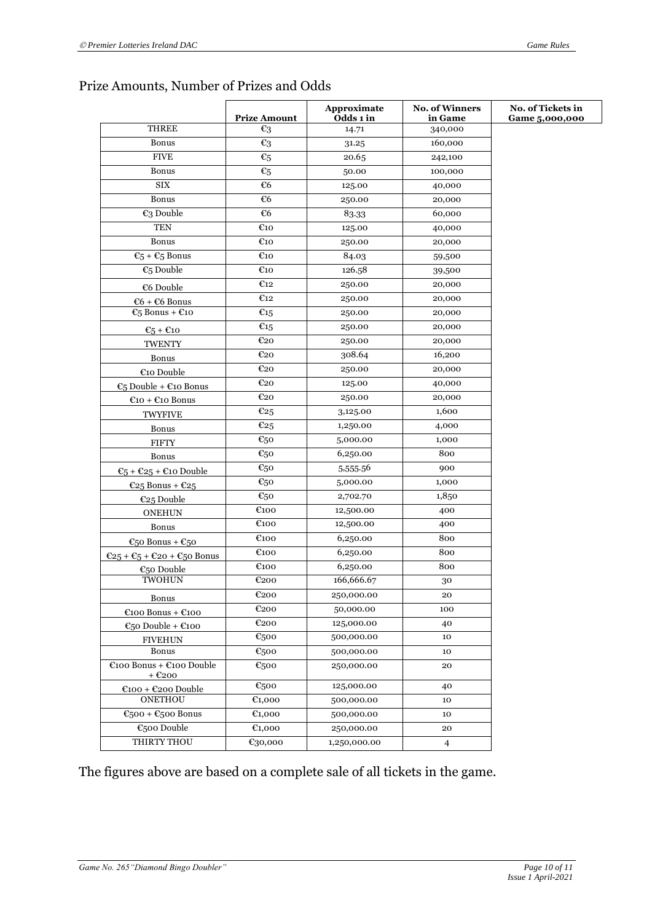#### Prize Amounts, Number of Prizes and Odds

|                                                                  | <b>Prize Amount</b>         | Approximate<br>Odds 1 in | <b>No. of Winners</b><br>in Game | No. of Tickets in<br>Game 5,000,000 |
|------------------------------------------------------------------|-----------------------------|--------------------------|----------------------------------|-------------------------------------|
| <b>THREE</b>                                                     | $\varepsilon_3$             | 14.71                    | 340,000                          |                                     |
| <b>Bonus</b>                                                     | $\overline{\epsilon_3}$     | 31.25                    | 160,000                          |                                     |
| <b>FIVE</b>                                                      | $\overline{\epsilon_5}$     | 20.65                    | 242,100                          |                                     |
| <b>Bonus</b>                                                     | $\epsilon_{5}$              | 50.00                    | 100,000                          |                                     |
| <b>SIX</b>                                                       | €6                          | 125.00                   | 40,000                           |                                     |
| <b>Bonus</b>                                                     | €6                          | 250.00                   | 20,000                           |                                     |
| $\epsilon_3$ Double                                              | €6                          | 83.33                    | 60,000                           |                                     |
| <b>TEN</b>                                                       | $\epsilon_{10}$             | 125.00                   | 40,000                           |                                     |
| Bonus                                                            | $\epsilon_{10}$             | 250.00                   | 20,000                           |                                     |
| $\epsilon_5$ + $\epsilon_5$ Bonus                                | $\epsilon_{10}$             | 84.03                    | 59,500                           |                                     |
| $\epsilon_5$ Double                                              | $\mathbb{C}10$              | 126.58                   | 39,500                           |                                     |
| $€6$ Double                                                      | $\epsilon_{12}$             | 250.00                   | 20,000                           |                                     |
| $\mathfrak{C}6 + \mathfrak{C}6$ Bonus                            | E12                         | 250.00                   | 20,000                           |                                     |
| $\mathbb{C}_5$ Bonus + $\mathbb{C}$ 10                           | $\overline{\epsilon_{15}}$  | 250.00                   | 20,000                           |                                     |
| $\mathbb{C}_5 + \mathbb{C}$ 10                                   | $\overline{\epsilon_{15}}$  | 250.00                   | 20,000                           |                                     |
| <b>TWENTY</b>                                                    | €20                         | 250.00                   | 20,000                           |                                     |
| <b>Bonus</b>                                                     | $E_{20}$                    | 308.64                   | 16,200                           |                                     |
| €10 Double                                                       | $E_{20}$                    | 250.00                   | 20,000                           |                                     |
| $\mathbb{C}_5$ Double + $\mathbb{C}$ 10 Bonus                    | $E_{20}$                    | 125.00                   | 40,000                           |                                     |
| $\mathcal{C}$ 10 + $\mathcal{C}$ 10 Bonus                        | $\mathbb{C}20$              | 250.00                   | 20,000                           |                                     |
| <b>TWYFIVE</b>                                                   | E25                         | 3,125.00                 | 1,600                            |                                     |
| <b>Bonus</b>                                                     | E25                         | 1,250.00                 | 4,000                            |                                     |
| <b>FIFTY</b>                                                     | €50                         | 5,000.00                 | 1,000                            |                                     |
| <b>Bonus</b>                                                     | €50                         | 6,250.00                 | 800                              |                                     |
| $\mathbb{C}_5$ + $\mathbb{C}_2$ + $\mathbb{C}_1$ Double          | €50                         | 5,555.56                 | 900                              |                                     |
| €25 Bonus + €25                                                  | €50                         | 5,000.00                 | 1,000                            |                                     |
| €25 Double                                                       | €50                         | 2,702.70                 | 1,850                            |                                     |
| <b>ONEHUN</b>                                                    | €100                        | 12,500.00                | 400                              |                                     |
| <b>Bonus</b>                                                     | €100                        | 12,500.00                | 400                              |                                     |
| $\epsilon$ <sub>50</sub> Bonus + $\epsilon$ <sub>50</sub>        | €100                        | 6,250.00                 | 800                              |                                     |
| $\mathbb{C}25 + \mathbb{C}5 + \mathbb{C}20 + \mathbb{C}50$ Bonus | €100                        | 6,250.00                 | 800                              |                                     |
| $\epsilon$ <sub>50</sub> Double                                  | €100                        | 6,250.00                 | 800                              |                                     |
| <b>TWOHUN</b>                                                    | €200                        | 166,666.67               | 30                               |                                     |
| Bonus                                                            | €200                        | 250,000.00               | 20                               |                                     |
| $\mathcal{C}$ 100 Bonus + $\mathcal{C}$ 100                      | €200                        | 50,000.00                | 100                              |                                     |
| $\epsilon$ <sub>50</sub> Double + $\epsilon$ 100                 | €200                        | 125,000.00               | 40                               |                                     |
| <b>FIVEHUN</b>                                                   | €500                        | 500,000.00               | 10                               |                                     |
| <b>Bonus</b>                                                     | €500                        | 500,000.00               | 10                               |                                     |
| $\epsilon$ 100 Bonus + $\epsilon$ 100 Double<br>$+$ €200         | €500                        | 250,000.00               | 20                               |                                     |
| $\mathcal{C}$ 100 + $\mathcal{C}$ 200 Double                     | $\overline{\epsilon_{500}}$ | 125,000.00               | 40                               |                                     |
| <b>ONETHOU</b>                                                   | €1,000                      | 500,000.00               | 10                               |                                     |
| $\overline{\text{E}}$ 500 + $\overline{\text{E}}$ 500 Bonus      | E1,000                      | 500,000.00               | 10                               |                                     |
| €500 Double                                                      | E1,000                      | 250,000.00               | 20                               |                                     |
| THIRTY THOU                                                      | €30,000                     | 1,250,000.00             | $\overline{4}$                   |                                     |

The figures above are based on a complete sale of all tickets in the game.